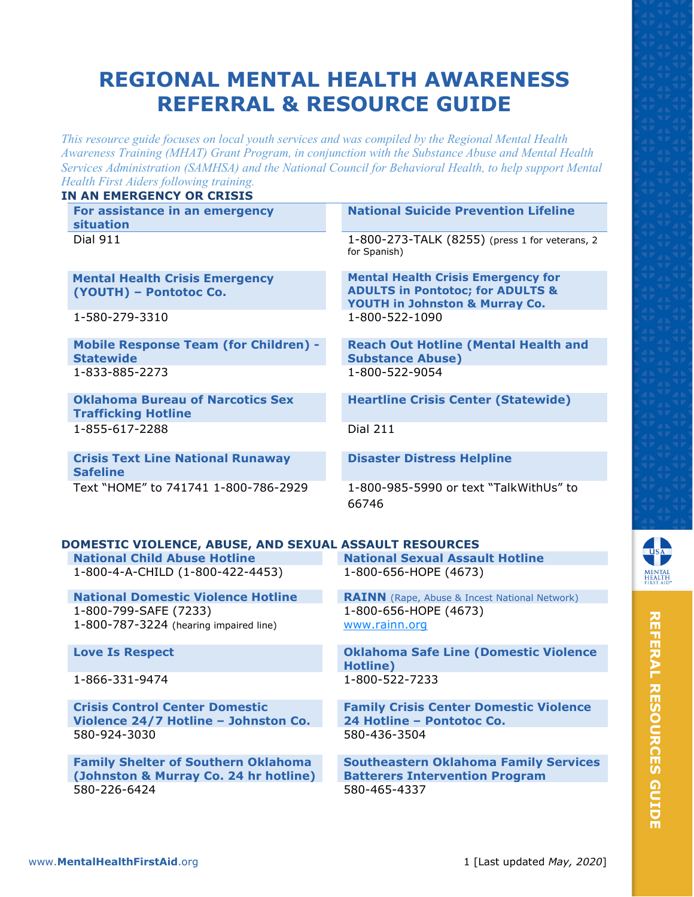# **REGIONAL MENTAL HEALTH AWARENESS REFERRAL & RESOURCE GUIDE**

*This resource guide focuses on local youth services and was compiled by the Regional Mental Health Awareness Training (MHAT) Grant Program, in conjunction with the Substance Abuse and Mental Health Services Administration (SAMHSA) and the National Council for Behavioral Health, to help support Mental Health First Aiders following training.*

| <b>IN AN EMERGENCY OR CRISIS</b>                                                                    |                                                                                                                            |
|-----------------------------------------------------------------------------------------------------|----------------------------------------------------------------------------------------------------------------------------|
| For assistance in an emergency<br>situation                                                         | <b>National Suicide Prevention Lifeline</b>                                                                                |
| <b>Dial 911</b>                                                                                     | 1-800-273-TALK (8255) (press 1 for veterans, 2<br>for Spanish)                                                             |
| <b>Mental Health Crisis Emergency</b><br>(YOUTH) - Pontotoc Co.                                     | <b>Mental Health Crisis Emergency for</b><br><b>ADULTS in Pontotoc; for ADULTS &amp;</b><br>YOUTH in Johnston & Murray Co. |
| 1-580-279-3310                                                                                      | 1-800-522-1090                                                                                                             |
| <b>Mobile Response Team (for Children) -</b><br><b>Statewide</b>                                    | <b>Reach Out Hotline (Mental Health and</b><br><b>Substance Abuse)</b>                                                     |
| 1-833-885-2273                                                                                      | 1-800-522-9054                                                                                                             |
| <b>Oklahoma Bureau of Narcotics Sex</b><br><b>Trafficking Hotline</b>                               | <b>Heartline Crisis Center (Statewide)</b>                                                                                 |
| 1-855-617-2288                                                                                      | <b>Dial 211</b>                                                                                                            |
| <b>Crisis Text Line National Runaway</b><br><b>Safeline</b>                                         | <b>Disaster Distress Helpline</b>                                                                                          |
| Text "HOME" to 741741 1-800-786-2929                                                                | 1-800-985-5990 or text "TalkWithUs" to<br>66746                                                                            |
| DOMESTIC VIOLENCE, ABUSE, AND SEXUAL ASSAULT RESOURCES                                              |                                                                                                                            |
| <b>National Child Abuse Hotline</b>                                                                 | <b>National Sexual Assault Hotline</b>                                                                                     |
| 1-800-4-A-CHILD (1-800-422-4453)                                                                    | 1-800-656-HOPE (4673)                                                                                                      |
| <b>National Domestic Violence Hotline</b><br>1-800-799-SAFE (7233)                                  | <b>RAINN</b> (Rape, Abuse & Incest National Network)<br>1-800-656-HOPE (4673)                                              |
| 1-800-787-3224 (hearing impaired line)                                                              | www.rainn.org                                                                                                              |
| <b>Love Is Respect</b>                                                                              | <b>Oklahoma Safe Line (Domestic Violence</b><br>Hotline)                                                                   |
| 1-866-331-9474                                                                                      | 1-800-522-7233                                                                                                             |
| <b>Crisis Control Center Domestic</b><br>Violence 24/7 Hotline - Johnston Co.<br>580-924-3030       | <b>Family Crisis Center Domestic Violence</b><br>24 Hotline - Pontotoc Co.<br>580-436-3504                                 |
| <b>Family Shelter of Southern Oklahoma</b><br>(Johnston & Murray Co. 24 hr hotline)<br>580-226-6424 | <b>Southeastern Oklahoma Family Services</b><br><b>Batterers Intervention Program</b><br>580-465-4337                      |

NTAL<br>ALTH<br>ST ALD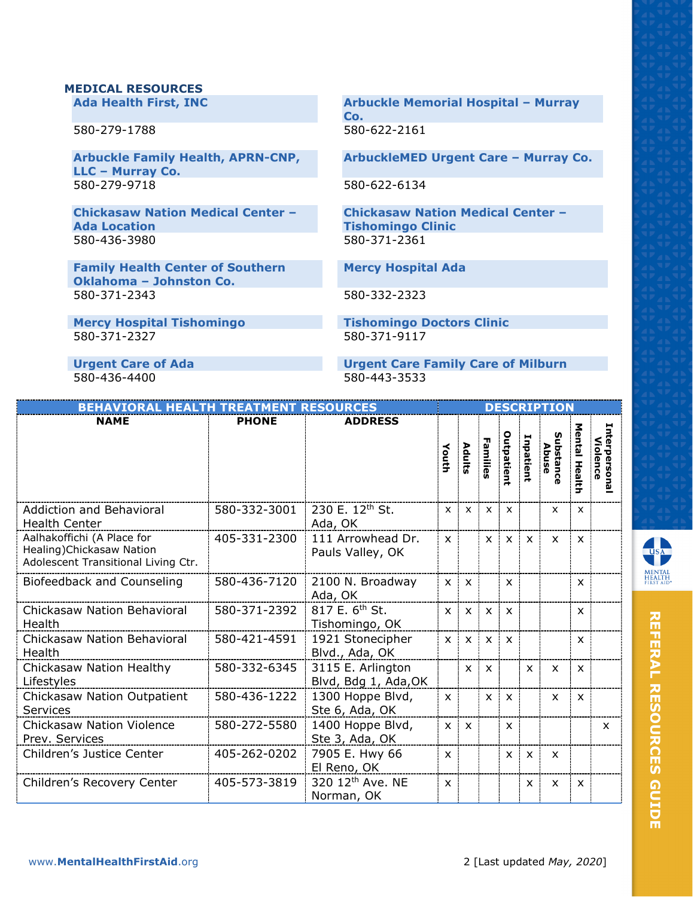#### **MEDICAL RESOURCES**

**Ada Health First, INC**

580-279-1788

**Arbuckle Family Health, APRN-CNP, LLC – Murray Co.** 580-279-9718

**Chickasaw Nation Medical Center – Ada Location** 580-436-3980

**Family Health Center of Southern Oklahoma – Johnston Co.** 580-371-2343 580-332-2323

**Mercy Hospital Tishomingo<br>
580-371-2327<br>
580-371-9117<br>
580-371-9117** 580-371-2327

**Arbuckle Memorial Hospital – Murray Co.** 580-622-2161

**ArbuckleMED Urgent Care – Murray Co.**

580-622-6134

**Chickasaw Nation Medical Center – Tishomingo Clinic** 580-371-2361

**Mercy Hospital Ada**

580-436-4400 580-443-3533

**Urgent Care of Ada Urgent Care Family Care of Milburn**

| <b>BEHAVIORAL HEALTH TREATMENT RESOURCES</b>                                                   |              |                                              |              |                           |              |                           |              | <b>DESCRIPTION</b>        |                           |                                 |
|------------------------------------------------------------------------------------------------|--------------|----------------------------------------------|--------------|---------------------------|--------------|---------------------------|--------------|---------------------------|---------------------------|---------------------------------|
| <b>NAME</b>                                                                                    | <b>PHONE</b> | <b>ADDRESS</b>                               | Youth        | Adults                    | Families     | Outpatient                | Inpatient    | Substance<br>Abuse        | Mental<br>Health          | Interpersona<br><b>Violence</b> |
| Addiction and Behavioral<br><b>Health Center</b>                                               | 580-332-3001 | 230 E. 12th St.<br>Ada, OK                   | $\mathsf{x}$ | $\boldsymbol{\mathsf{x}}$ | $\mathsf{x}$ | $\boldsymbol{\mathsf{x}}$ |              | X                         | $\mathsf{x}$              |                                 |
| Aalhakoffichi (A Place for<br>Healing) Chickasaw Nation<br>Adolescent Transitional Living Ctr. | 405-331-2300 | 111 Arrowhead Dr.<br>Pauls Valley, OK        | $\mathsf{x}$ |                           | $\mathsf{x}$ | $\times$                  | $\mathsf{x}$ | $\mathsf{x}$              | $\mathsf{x}$              |                                 |
| Biofeedback and Counseling                                                                     | 580-436-7120 | 2100 N. Broadway<br>Ada, OK                  | $\mathsf{x}$ | $\mathsf{x}$              |              | $\boldsymbol{\mathsf{x}}$ |              |                           | $\boldsymbol{\mathsf{x}}$ |                                 |
| <b>Chickasaw Nation Behavioral</b><br>Health                                                   | 580-371-2392 | 817 E. 6 <sup>th</sup> St.<br>Tishomingo, OK | $\mathsf{x}$ | $\mathsf{x}$              | $\mathsf{x}$ | $\mathsf{x}$              |              |                           | $\mathsf{x}$              |                                 |
| <b>Chickasaw Nation Behavioral</b><br>Health                                                   | 580-421-4591 | 1921 Stonecipher<br>Blvd., Ada, OK           | $\mathsf{x}$ | $\boldsymbol{\mathsf{x}}$ | $\mathsf{x}$ | $\boldsymbol{\mathsf{x}}$ |              |                           | X                         |                                 |
| Chickasaw Nation Healthy<br>Lifestyles                                                         | 580-332-6345 | 3115 E. Arlington<br>Blvd, Bdg 1, Ada, OK    |              | $\mathsf{x}$              | $\mathsf{x}$ |                           | $\mathsf{x}$ | $\mathsf{x}$              | $\mathsf{x}$              |                                 |
| Chickasaw Nation Outpatient<br><b>Services</b>                                                 | 580-436-1222 | 1300 Hoppe Blvd,<br>Ste 6, Ada, OK           | $\mathsf{x}$ |                           | $\mathsf{x}$ | $\boldsymbol{\mathsf{x}}$ |              | $\mathsf{x}$              | $\mathsf{x}$              |                                 |
| <b>Chickasaw Nation Violence</b><br>Prev. Services                                             | 580-272-5580 | 1400 Hoppe Blvd,<br>Ste 3, Ada, OK           | $\mathsf{x}$ | $\mathsf{x}$              |              | $\boldsymbol{\mathsf{x}}$ |              |                           |                           | X                               |
| Children's Justice Center                                                                      | 405-262-0202 | 7905 E. Hwy 66<br>El Reno, OK                | $\mathsf{x}$ |                           |              | $\mathsf{x}$              | $\mathsf{x}$ | X                         |                           |                                 |
| Children's Recovery Center                                                                     | 405-573-3819 | 320 12 <sup>th</sup> Ave. NE<br>Norman, OK   | $\mathsf{x}$ |                           |              |                           | $\mathsf{x}$ | $\boldsymbol{\mathsf{x}}$ | $\mathsf{x}$              |                                 |



**REFERAL RESOURCES GUIDE REFERAL RESOURCES GUIDE**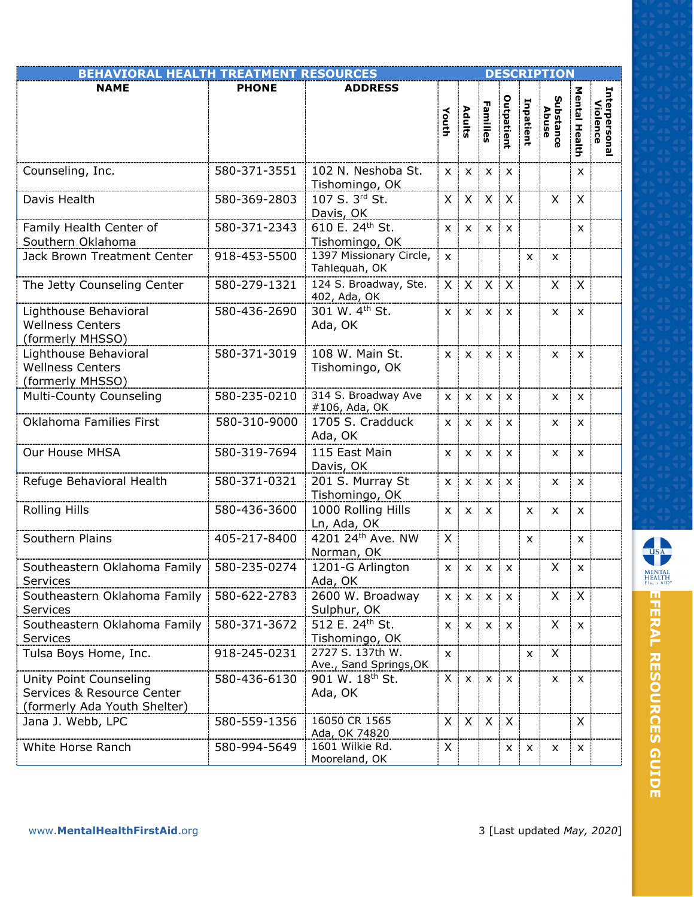| <b>BEHAVIORAL HEALTH TREATMENT RESOURCES</b>                                                |              |                                            |                           |                           |                           |                           |              | <b>DESCRIPTION</b> |                |                           |
|---------------------------------------------------------------------------------------------|--------------|--------------------------------------------|---------------------------|---------------------------|---------------------------|---------------------------|--------------|--------------------|----------------|---------------------------|
| <b>NAME</b>                                                                                 | <b>PHONE</b> | <b>ADDRESS</b>                             | Youth                     | Adults                    | Families                  | Outpatient                | Inpatient    | Substance<br>Abuse | Mental Health  | Interpersonal<br>Violence |
| Counseling, Inc.                                                                            | 580-371-3551 | 102 N. Neshoba St.<br>Tishomingo, OK       | $\mathsf{x}$              | X                         | X                         | X                         |              |                    | X              |                           |
| Davis Health                                                                                | 580-369-2803 | 107 S. 3rd St.<br>Davis, OK                | X                         | X                         | X                         | $\boldsymbol{\mathsf{X}}$ |              | X                  | X              |                           |
| Family Health Center of<br>Southern Oklahoma                                                | 580-371-2343 | 610 E. 24th St.<br>Tishomingo, OK          | $\mathsf{x}$              | $\boldsymbol{\mathsf{x}}$ | $\mathsf{x}$              | $\boldsymbol{\mathsf{x}}$ |              |                    | X              |                           |
| Jack Brown Treatment Center                                                                 | 918-453-5500 | 1397 Missionary Circle,<br>Tahlequah, OK   | $\mathsf{x}$              |                           |                           |                           | $\mathsf{x}$ | X                  |                |                           |
| The Jetty Counseling Center                                                                 | 580-279-1321 | 124 S. Broadway, Ste.<br>402, Ada, OK      | X.                        | $\mathsf{X}$              | $\mathsf{X}$              | $\mathsf{X}$              |              | X                  | X              |                           |
| Lighthouse Behavioral<br><b>Wellness Centers</b><br>(formerly MHSSO)                        | 580-436-2690 | 301 W. 4th St.<br>Ada, OK                  | $\boldsymbol{\mathsf{x}}$ | $\boldsymbol{\mathsf{x}}$ | $\boldsymbol{\mathsf{x}}$ | $\boldsymbol{\mathsf{x}}$ |              | X                  | X              |                           |
| Lighthouse Behavioral<br><b>Wellness Centers</b><br>(formerly MHSSO)                        | 580-371-3019 | 108 W. Main St.<br>Tishomingo, OK          | $\mathsf{X}$              | $\mathsf{x}$              | $\mathsf{x}$              | $\mathsf{x}$              |              | x                  | $\mathsf{x}$   |                           |
| Multi-County Counseling                                                                     | 580-235-0210 | 314 S. Broadway Ave<br>#106, Ada, OK       | $\mathsf{x}$              | $\boldsymbol{\mathsf{x}}$ | $\mathsf{x}$              | $\mathsf{x}$              |              | x                  | X              |                           |
| Oklahoma Families First                                                                     | 580-310-9000 | 1705 S. Cradduck<br>Ada, OK                | X                         | X                         | X                         | $\times$                  |              | X                  | X              |                           |
| Our House MHSA                                                                              | 580-319-7694 | 115 East Main<br>Davis, OK                 | $\mathsf{x}$              | $\boldsymbol{\mathsf{x}}$ | X                         | X                         |              | x                  | X              |                           |
| Refuge Behavioral Health                                                                    | 580-371-0321 | 201 S. Murray St<br>Tishomingo, OK         | $\mathsf{x}$              | $\boldsymbol{\mathsf{x}}$ | $\boldsymbol{\mathsf{x}}$ | X                         |              | x                  | X              |                           |
| <b>Rolling Hills</b>                                                                        | 580-436-3600 | 1000 Rolling Hills<br>Ln, Ada, OK          | X                         | $\mathsf{x}$              | $\boldsymbol{\mathsf{x}}$ |                           | X            | X                  | $\mathsf{x}$   |                           |
| Southern Plains                                                                             | 405-217-8400 | 4201 24th Ave. NW<br>Norman, OK            | X                         |                           |                           |                           | X            |                    | X              |                           |
| Southeastern Oklahoma Family   580-235-0274<br>Services                                     |              | 1201-G Arlington<br>Ada, OK                | $x \mid$                  |                           | $x \mid x \mid x$         |                           |              | X                  | $\pmb{\times}$ |                           |
| Southeastern Oklahoma Family<br>Services                                                    | 580-622-2783 | 2600 W. Broadway<br>Sulphur, OK            | $\mathsf{x}$              | $\mathsf{x}$              | $\mathsf{x}$              | $\boldsymbol{\mathsf{x}}$ |              | X                  | X              |                           |
| Southeastern Oklahoma Family<br>Services                                                    | 580-371-3672 | 512 E. 24th St.<br>Tishomingo, OK          | X                         | $\boldsymbol{\mathsf{x}}$ | $\boldsymbol{\mathsf{x}}$ | $\boldsymbol{\mathsf{x}}$ |              | X                  | $\mathsf{x}$   |                           |
| Tulsa Boys Home, Inc.                                                                       | 918-245-0231 | 2727 S. 137th W.<br>Ave., Sand Springs, OK | X                         |                           |                           |                           | X            | X                  |                |                           |
| <b>Unity Point Counseling</b><br>Services & Resource Center<br>(formerly Ada Youth Shelter) | 580-436-6130 | 901 W. 18 <sup>th</sup> St.<br>Ada, OK     | X                         | $\mathsf{x}$              | $\pmb{\times}$            | $\boldsymbol{\mathsf{x}}$ |              | x                  | X              |                           |
| Jana J. Webb, LPC                                                                           | 580-559-1356 | 16050 CR 1565<br>Ada, OK 74820             | X.                        | $\mathsf{X}$              | $\mathsf{X}$              | $\mathsf{X}$              |              |                    | X              |                           |
| White Horse Ranch                                                                           | 580-994-5649 | 1601 Wilkie Rd.<br>Mooreland, OK           | X                         |                           |                           | $\mathsf{x}$              | X            | x                  | X              |                           |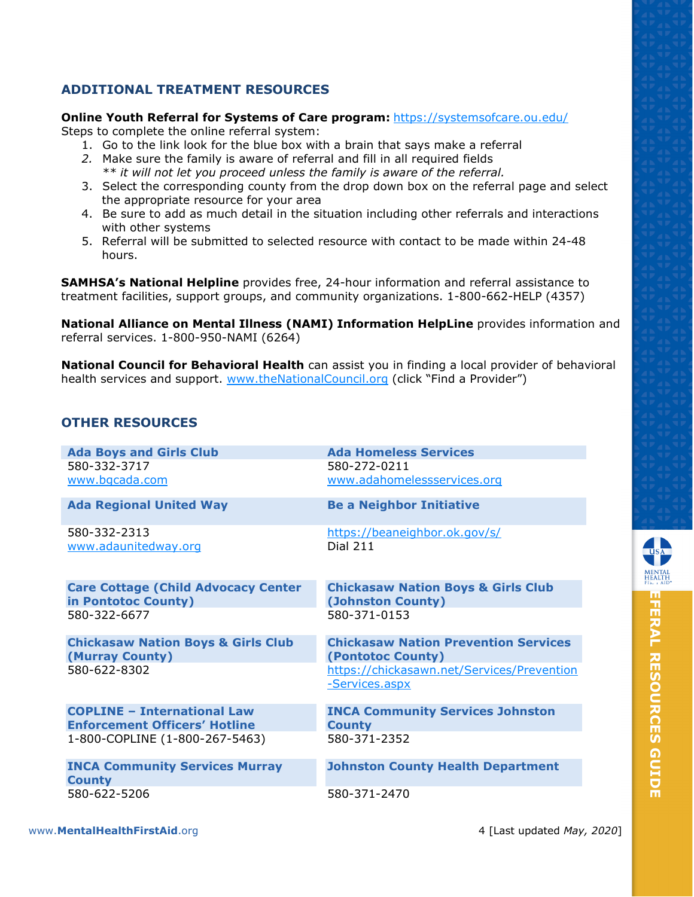### **ADDITIONAL TREATMENT RESOURCES**

#### **Online Youth Referral for Systems of Care program:** <https://systemsofcare.ou.edu/>

Steps to complete the online referral system:

- 1. Go to the link look for the blue box with a brain that says make a referral
- *2.* Make sure the family is aware of referral and fill in all required fields *\*\* it will not let you proceed unless the family is aware of the referral.*
- 3. Select the corresponding county from the drop down box on the referral page and select the appropriate resource for your area
- 4. Be sure to add as much detail in the situation including other referrals and interactions with other systems
- 5. Referral will be submitted to selected resource with contact to be made within 24-48 hours.

**SAMHSA's National Helpline** provides free, 24-hour information and referral assistance to treatment facilities, support groups, and community organizations. 1-800-662-HELP (4357)

**National Alliance on Mental Illness (NAMI) Information HelpLine** provides information and referral services. 1-800-950-NAMI (6264)

**National Council for Behavioral Health** can assist you in finding a local provider of behavioral health services and support. [www.theNationalCouncil.org](http://www.thenationalcouncil.org/) (click "Find a Provider")

## **OTHER RESOURCES**

| <b>Ada Boys and Girls Club</b>                         | <b>Ada Homeless Services</b>                                 |
|--------------------------------------------------------|--------------------------------------------------------------|
| 580-332-3717                                           | 580-272-0211                                                 |
| www.bgcada.com                                         | www.adahomelessservices.org                                  |
| <b>Ada Regional United Way</b>                         | <b>Be a Neighbor Initiative</b>                              |
| 580-332-2313                                           | https://beaneighbor.ok.gov/s/                                |
| www.adaunitedway.org                                   | <b>Dial 211</b>                                              |
| <b>Care Cottage (Child Advocacy Center</b>             | <b>Chickasaw Nation Boys &amp; Girls Club</b>                |
| in Pontotoc County)                                    | (Johnston County)                                            |
| 580-322-6677                                           | 580-371-0153                                                 |
| <b>Chickasaw Nation Boys &amp; Girls Club</b>          | <b>Chickasaw Nation Prevention Services</b>                  |
| (Murray County)                                        | (Pontotoc County)                                            |
| 580-622-8302                                           | https://chickasawn.net/Services/Prevention<br>-Services.aspx |
| <b>COPLINE - International Law</b>                     | <b>INCA Community Services Johnston</b>                      |
| <b>Enforcement Officers' Hotline</b>                   | <b>County</b>                                                |
| 1-800-COPLINE (1-800-267-5463)                         | 580-371-2352                                                 |
| <b>INCA Community Services Murray</b><br><b>County</b> | <b>Johnston County Health Department</b>                     |
| 580-622-5206                                           | 580-371-2470                                                 |